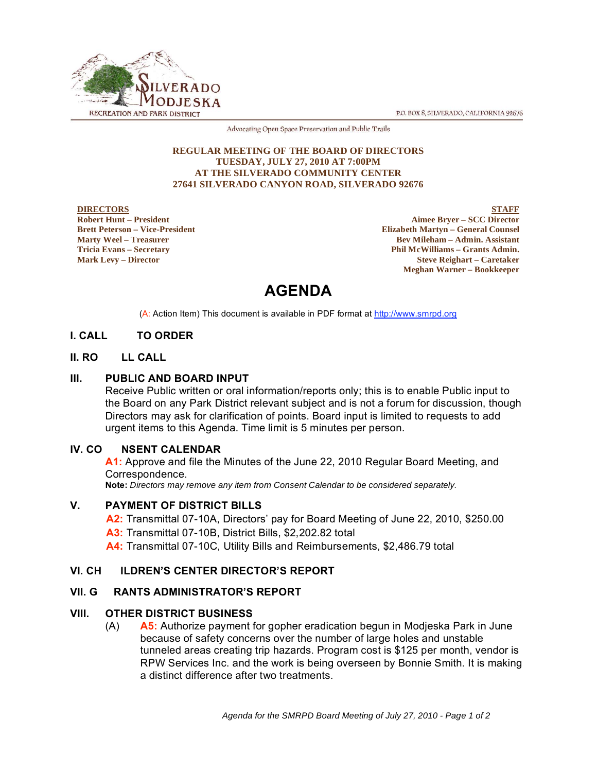P.O. BOX 8, SILVERADO, CALIFORNIA 92676



Advocating Open Space Preservation and Public Trails

#### **REGULAR MEETING OF THE BOARD OF DIRECTORS TUESDAY, JULY 27, 2010 AT 7:00PM AT THE SILVERADO COMMUNITY CENTER 27641 SILVERADO CANYON ROAD, SILVERADO 92676**

#### **DIRECTORS Robert Hunt – President Brett Peterson – Vice-President Marty Weel – Treasurer Tricia Evans – Secretary Mark Levy – Director**

**STAFF Aimee Bryer – SCC Director Elizabeth Martyn – General Counsel Bev Mileham – Admin. Assistant Phil McWilliams – Grants Admin. Steve Reighart – Caretaker Meghan Warner – Bookkeeper**

# **AGENDA**

(A: Action Item) This document is available in PDF format at http://www.smrpd.org

# **I. CALL TO ORDER**

# **II. RO LL CALL**

# **III. PUBLIC AND BOARD INPUT**

Receive Public written or oral information/reports only; this is to enable Public input to the Board on any Park District relevant subject and is not a forum for discussion, though Directors may ask for clarification of points. Board input is limited to requests to add urgent items to this Agenda. Time limit is 5 minutes per person.

# **IV. CO NSENT CALENDAR**

**A1:** Approve and file the Minutes of the June 22, 2010 Regular Board Meeting, and Correspondence.

**Note:** *Directors may remove any item from Consent Calendar to be considered separately.* 

# **V. PAYMENT OF DISTRICT BILLS**

**A2:** Transmittal 07-10A, Directors' pay for Board Meeting of June 22, 2010, \$250.00

**A3:** Transmittal 07-10B, District Bills, \$2,202.82 total

**A4:** Transmittal 07-10C, Utility Bills and Reimbursements, \$2,486.79 total

# **VI. CH ILDREN'S CENTER DIRECTOR'S REPORT**

# **VII. G RANTS ADMINISTRATOR'S REPORT**

# **VIII. OTHER DISTRICT BUSINESS**

(A) **A5:** Authorize payment for gopher eradication begun in Modjeska Park in June because of safety concerns over the number of large holes and unstable tunneled areas creating trip hazards. Program cost is \$125 per month, vendor is RPW Services Inc. and the work is being overseen by Bonnie Smith. It is making a distinct difference after two treatments.